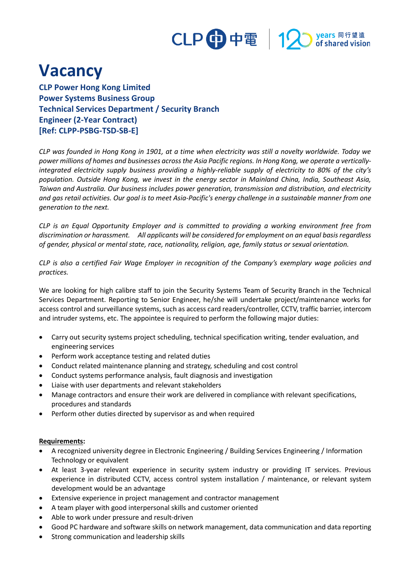## CLP 中電 | 12 years 同行望遠

## **Vacancy**

**CLP Power Hong Kong Limited Power Systems Business Group Technical Services Department / Security Branch Engineer (2-Year Contract) [Ref: CLPP-PSBG-TSD-SB-E]**

*CLP was founded in Hong Kong in 1901, at a time when electricity was still a novelty worldwide. Today we power millions of homes and businesses across the Asia Pacific regions. In Hong Kong, we operate a verticallyintegrated electricity supply business providing a highly-reliable supply of electricity to 80% of the city's population. Outside Hong Kong, we invest in the energy sector in Mainland China, India, Southeast Asia, Taiwan and Australia. Our business includes power generation, transmission and distribution, and electricity and gas retail activities. Our goal is to meet Asia-Pacific's energy challenge in a sustainable manner from one generation to the next.*

*CLP is an Equal Opportunity Employer and is committed to providing a working environment free from discrimination or harassment. All applicants will be considered for employment on an equal basis regardless of gender, physical or mental state, race, nationality, religion, age, family status or sexual orientation.*

*CLP is also a certified Fair Wage Employer in recognition of the Company's exemplary wage policies and practices.*

We are looking for high calibre staff to join the Security Systems Team of Security Branch in the Technical Services Department. Reporting to Senior Engineer, he/she will undertake project/maintenance works for access control and surveillance systems, such as access card readers/controller, CCTV, traffic barrier, intercom and intruder systems, etc. The appointee is required to perform the following major duties:

- Carry out security systems project scheduling, technical specification writing, tender evaluation, and engineering services
- Perform work acceptance testing and related duties
- Conduct related maintenance planning and strategy, scheduling and cost control
- Conduct systems performance analysis, fault diagnosis and investigation
- Liaise with user departments and relevant stakeholders
- Manage contractors and ensure their work are delivered in compliance with relevant specifications, procedures and standards
- Perform other duties directed by supervisor as and when required

## **Requirements:**

- A recognized university degree in Electronic Engineering / Building Services Engineering / Information Technology or equivalent
- At least 3-year relevant experience in security system industry or providing IT services. Previous experience in distributed CCTV, access control system installation / maintenance, or relevant system development would be an advantage
- Extensive experience in project management and contractor management
- A team player with good interpersonal skills and customer oriented
- Able to work under pressure and result-driven
- Good PC hardware and software skills on network management, data communication and data reporting
- Strong communication and leadership skills